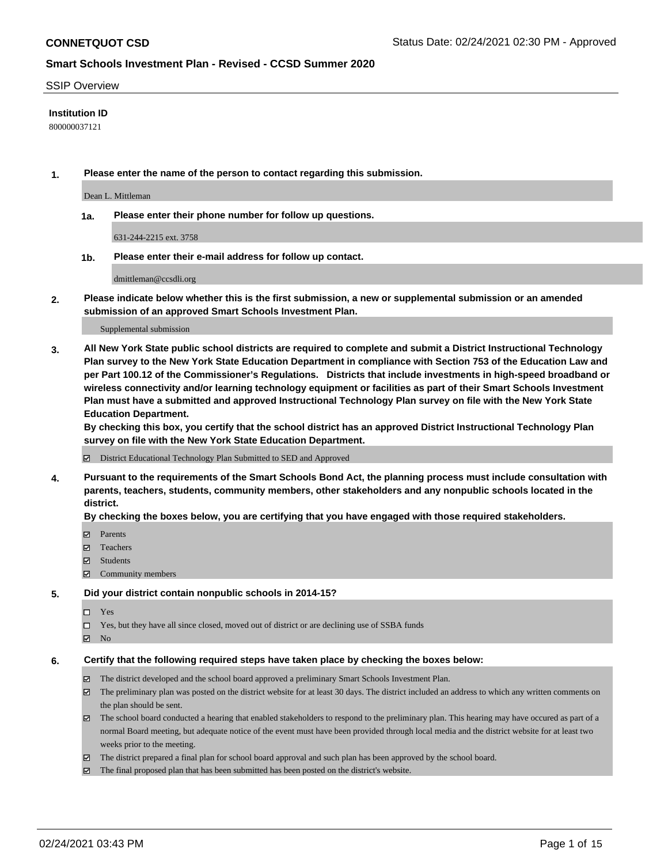#### SSIP Overview

## **Institution ID**

800000037121

**1. Please enter the name of the person to contact regarding this submission.**

Dean L. Mittleman

**1a. Please enter their phone number for follow up questions.**

631-244-2215 ext. 3758

**1b. Please enter their e-mail address for follow up contact.**

dmittleman@ccsdli.org

**2. Please indicate below whether this is the first submission, a new or supplemental submission or an amended submission of an approved Smart Schools Investment Plan.**

#### Supplemental submission

**3. All New York State public school districts are required to complete and submit a District Instructional Technology Plan survey to the New York State Education Department in compliance with Section 753 of the Education Law and per Part 100.12 of the Commissioner's Regulations. Districts that include investments in high-speed broadband or wireless connectivity and/or learning technology equipment or facilities as part of their Smart Schools Investment Plan must have a submitted and approved Instructional Technology Plan survey on file with the New York State Education Department.** 

**By checking this box, you certify that the school district has an approved District Instructional Technology Plan survey on file with the New York State Education Department.**

District Educational Technology Plan Submitted to SED and Approved

**4. Pursuant to the requirements of the Smart Schools Bond Act, the planning process must include consultation with parents, teachers, students, community members, other stakeholders and any nonpublic schools located in the district.** 

### **By checking the boxes below, you are certifying that you have engaged with those required stakeholders.**

- **Ø** Parents
- Teachers
- Students
- $\Xi$  Community members

#### **5. Did your district contain nonpublic schools in 2014-15?**

- □ Yes
- □ Yes, but they have all since closed, moved out of district or are declining use of SSBA funds
- **Ø** No

## **6. Certify that the following required steps have taken place by checking the boxes below:**

- The district developed and the school board approved a preliminary Smart Schools Investment Plan.
- The preliminary plan was posted on the district website for at least 30 days. The district included an address to which any written comments on the plan should be sent.
- The school board conducted a hearing that enabled stakeholders to respond to the preliminary plan. This hearing may have occured as part of a normal Board meeting, but adequate notice of the event must have been provided through local media and the district website for at least two weeks prior to the meeting.
- The district prepared a final plan for school board approval and such plan has been approved by the school board.
- $\boxtimes$  The final proposed plan that has been submitted has been posted on the district's website.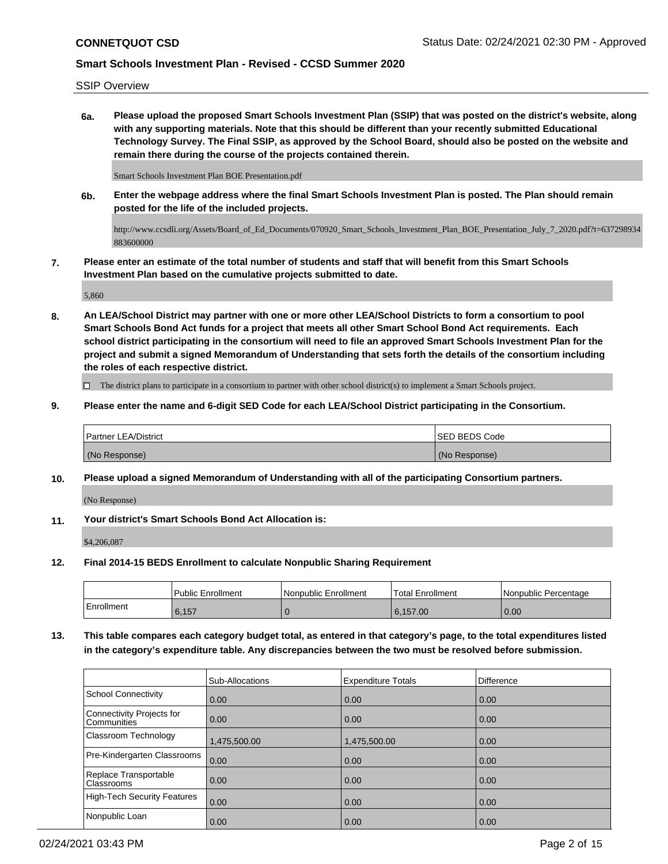SSIP Overview

**6a. Please upload the proposed Smart Schools Investment Plan (SSIP) that was posted on the district's website, along with any supporting materials. Note that this should be different than your recently submitted Educational Technology Survey. The Final SSIP, as approved by the School Board, should also be posted on the website and remain there during the course of the projects contained therein.**

Smart Schools Investment Plan BOE Presentation.pdf

**6b. Enter the webpage address where the final Smart Schools Investment Plan is posted. The Plan should remain posted for the life of the included projects.**

http://www.ccsdli.org/Assets/Board\_of\_Ed\_Documents/070920\_Smart\_Schools\_Investment\_Plan\_BOE\_Presentation\_July\_7\_2020.pdf?t=637298934 883600000

**7. Please enter an estimate of the total number of students and staff that will benefit from this Smart Schools Investment Plan based on the cumulative projects submitted to date.**

5,860

**8. An LEA/School District may partner with one or more other LEA/School Districts to form a consortium to pool Smart Schools Bond Act funds for a project that meets all other Smart School Bond Act requirements. Each school district participating in the consortium will need to file an approved Smart Schools Investment Plan for the project and submit a signed Memorandum of Understanding that sets forth the details of the consortium including the roles of each respective district.**

 $\Box$  The district plans to participate in a consortium to partner with other school district(s) to implement a Smart Schools project.

**9. Please enter the name and 6-digit SED Code for each LEA/School District participating in the Consortium.**

| <b>Partner LEA/District</b> | <b>ISED BEDS Code</b> |
|-----------------------------|-----------------------|
| (No Response)               | (No Response)         |

**10. Please upload a signed Memorandum of Understanding with all of the participating Consortium partners.**

(No Response)

**11. Your district's Smart Schools Bond Act Allocation is:**

\$4,206,087

**12. Final 2014-15 BEDS Enrollment to calculate Nonpublic Sharing Requirement**

|            | Public Enrollment | Nonpublic Enrollment | <b>Total Enrollment</b> | l Nonpublic Percentage |
|------------|-------------------|----------------------|-------------------------|------------------------|
| Enrollment | 6.157             |                      | 6.157.00                | 0.00                   |

**13. This table compares each category budget total, as entered in that category's page, to the total expenditures listed in the category's expenditure table. Any discrepancies between the two must be resolved before submission.**

|                                                 | Sub-Allocations | <b>Expenditure Totals</b> | Difference |
|-------------------------------------------------|-----------------|---------------------------|------------|
| School Connectivity                             | 0.00            | 0.00                      | 0.00       |
| Connectivity Projects for<br><b>Communities</b> | 0.00            | 0.00                      | 0.00       |
| Classroom Technology                            | 1,475,500.00    | 1,475,500.00              | 0.00       |
| Pre-Kindergarten Classrooms                     | 0.00            | 0.00                      | 0.00       |
| Replace Transportable<br><b>Classrooms</b>      | 0.00            | 0.00                      | 0.00       |
| High-Tech Security Features                     | 0.00            | 0.00                      | 0.00       |
| Nonpublic Loan                                  | 0.00            | 0.00                      | 0.00       |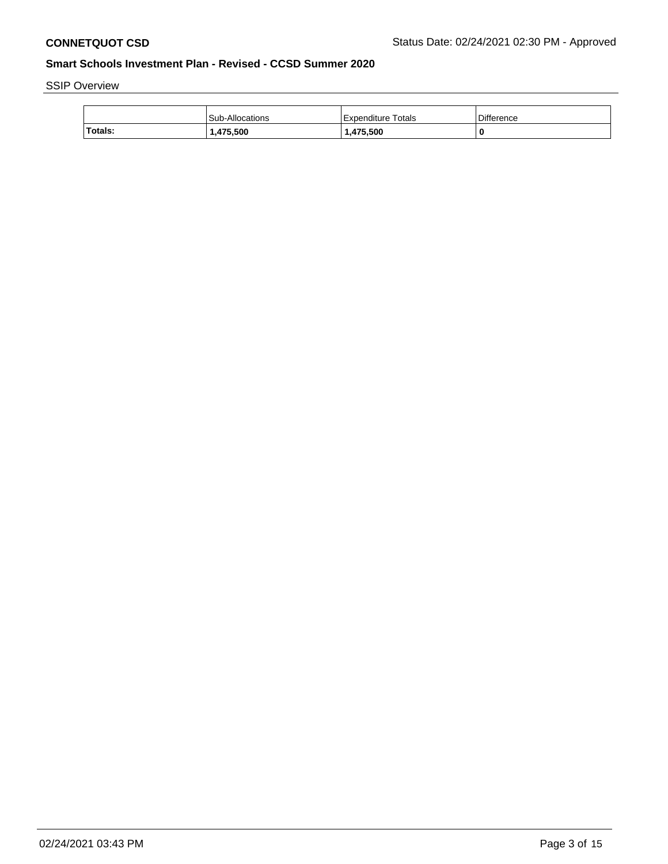SSIP Overview

|         | Sub-Allocations | Expenditure Totals | Difference |
|---------|-----------------|--------------------|------------|
| Totals: | 475,500,ا       | 1.475.500          |            |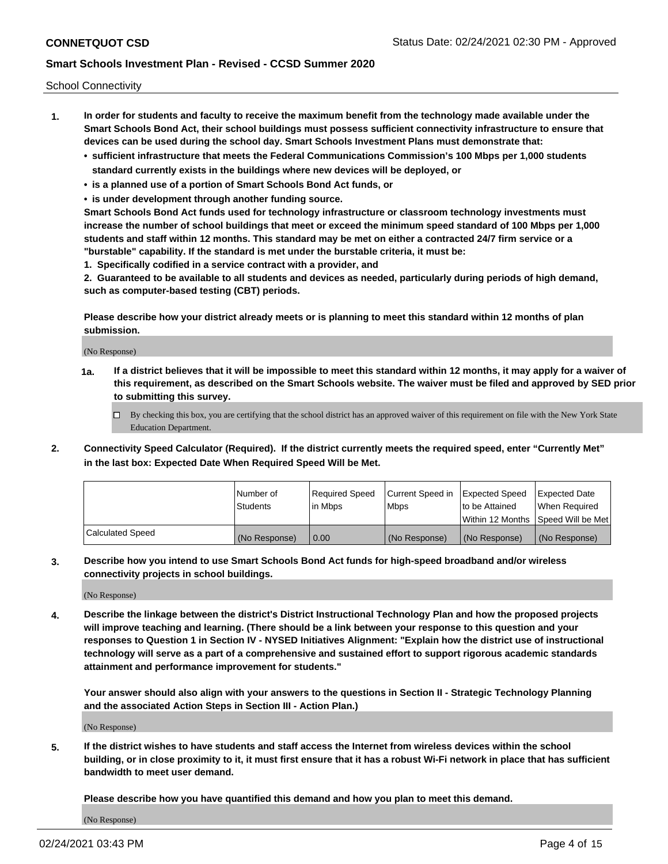School Connectivity

- **1. In order for students and faculty to receive the maximum benefit from the technology made available under the Smart Schools Bond Act, their school buildings must possess sufficient connectivity infrastructure to ensure that devices can be used during the school day. Smart Schools Investment Plans must demonstrate that:**
	- **• sufficient infrastructure that meets the Federal Communications Commission's 100 Mbps per 1,000 students standard currently exists in the buildings where new devices will be deployed, or**
	- **• is a planned use of a portion of Smart Schools Bond Act funds, or**
	- **• is under development through another funding source.**

**Smart Schools Bond Act funds used for technology infrastructure or classroom technology investments must increase the number of school buildings that meet or exceed the minimum speed standard of 100 Mbps per 1,000 students and staff within 12 months. This standard may be met on either a contracted 24/7 firm service or a "burstable" capability. If the standard is met under the burstable criteria, it must be:**

**1. Specifically codified in a service contract with a provider, and**

**2. Guaranteed to be available to all students and devices as needed, particularly during periods of high demand, such as computer-based testing (CBT) periods.**

**Please describe how your district already meets or is planning to meet this standard within 12 months of plan submission.**

(No Response)

**1a. If a district believes that it will be impossible to meet this standard within 12 months, it may apply for a waiver of this requirement, as described on the Smart Schools website. The waiver must be filed and approved by SED prior to submitting this survey.**

 $\Box$  By checking this box, you are certifying that the school district has an approved waiver of this requirement on file with the New York State Education Department.

**2. Connectivity Speed Calculator (Required). If the district currently meets the required speed, enter "Currently Met" in the last box: Expected Date When Required Speed Will be Met.**

|                  | l Number of     | Required Speed | Current Speed in | Expected Speed | Expected Date                        |
|------------------|-----------------|----------------|------------------|----------------|--------------------------------------|
|                  | <b>Students</b> | In Mbps        | <b>Mbps</b>      | to be Attained | When Required                        |
|                  |                 |                |                  |                | Within 12 Months 1Speed Will be Met1 |
| Calculated Speed | (No Response)   | 0.00           | (No Response)    | (No Response)  | l (No Response)                      |

**3. Describe how you intend to use Smart Schools Bond Act funds for high-speed broadband and/or wireless connectivity projects in school buildings.**

(No Response)

**4. Describe the linkage between the district's District Instructional Technology Plan and how the proposed projects will improve teaching and learning. (There should be a link between your response to this question and your responses to Question 1 in Section IV - NYSED Initiatives Alignment: "Explain how the district use of instructional technology will serve as a part of a comprehensive and sustained effort to support rigorous academic standards attainment and performance improvement for students."** 

**Your answer should also align with your answers to the questions in Section II - Strategic Technology Planning and the associated Action Steps in Section III - Action Plan.)**

(No Response)

**5. If the district wishes to have students and staff access the Internet from wireless devices within the school building, or in close proximity to it, it must first ensure that it has a robust Wi-Fi network in place that has sufficient bandwidth to meet user demand.**

**Please describe how you have quantified this demand and how you plan to meet this demand.**

(No Response)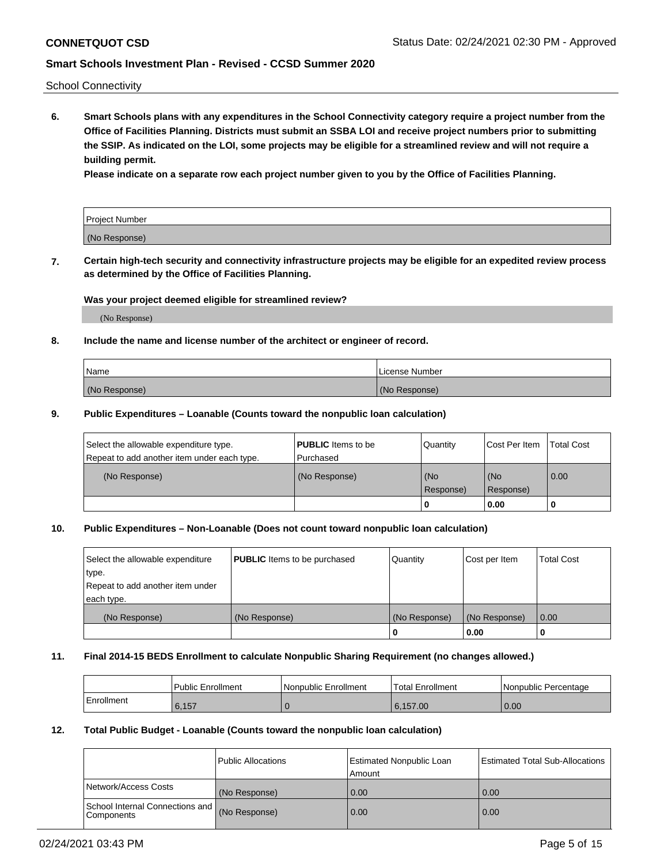School Connectivity

**6. Smart Schools plans with any expenditures in the School Connectivity category require a project number from the Office of Facilities Planning. Districts must submit an SSBA LOI and receive project numbers prior to submitting the SSIP. As indicated on the LOI, some projects may be eligible for a streamlined review and will not require a building permit.**

**Please indicate on a separate row each project number given to you by the Office of Facilities Planning.**

| Project Number |  |
|----------------|--|
| (No Response)  |  |

**7. Certain high-tech security and connectivity infrastructure projects may be eligible for an expedited review process as determined by the Office of Facilities Planning.**

### **Was your project deemed eligible for streamlined review?**

(No Response)

## **8. Include the name and license number of the architect or engineer of record.**

| Name          | License Number |
|---------------|----------------|
| (No Response) | (No Response)  |

### **9. Public Expenditures – Loanable (Counts toward the nonpublic loan calculation)**

| Select the allowable expenditure type.<br>Repeat to add another item under each type. | <b>PUBLIC</b> Items to be<br>l Purchased | Quantity           | Cost Per Item    | <b>Total Cost</b> |
|---------------------------------------------------------------------------------------|------------------------------------------|--------------------|------------------|-------------------|
| (No Response)                                                                         | (No Response)                            | l (No<br>Response) | (No<br>Response) | $\overline{0.00}$ |
|                                                                                       |                                          | 0                  | 0.00             |                   |

## **10. Public Expenditures – Non-Loanable (Does not count toward nonpublic loan calculation)**

| Select the allowable expenditure<br>type.<br>Repeat to add another item under<br>each type. | <b>PUBLIC</b> Items to be purchased | Quantity      | Cost per Item | <b>Total Cost</b> |
|---------------------------------------------------------------------------------------------|-------------------------------------|---------------|---------------|-------------------|
| (No Response)                                                                               | (No Response)                       | (No Response) | (No Response) | 0.00              |
|                                                                                             |                                     |               | 0.00          |                   |

#### **11. Final 2014-15 BEDS Enrollment to calculate Nonpublic Sharing Requirement (no changes allowed.)**

|            | Public Enrollment | l Nonpublic Enrollment | <b>Total Enrollment</b> | Nonpublic Percentage |
|------------|-------------------|------------------------|-------------------------|----------------------|
| Enrollment | 6.157             |                        | 6.157.00                | 0.00                 |

### **12. Total Public Budget - Loanable (Counts toward the nonpublic loan calculation)**

|                                                      | Public Allocations | <b>Estimated Nonpublic Loan</b><br>Amount | Estimated Total Sub-Allocations |
|------------------------------------------------------|--------------------|-------------------------------------------|---------------------------------|
| Network/Access Costs                                 | (No Response)      | 0.00                                      | 0.00                            |
| School Internal Connections and<br><b>Components</b> | (No Response)      | 0.00                                      | 0.00                            |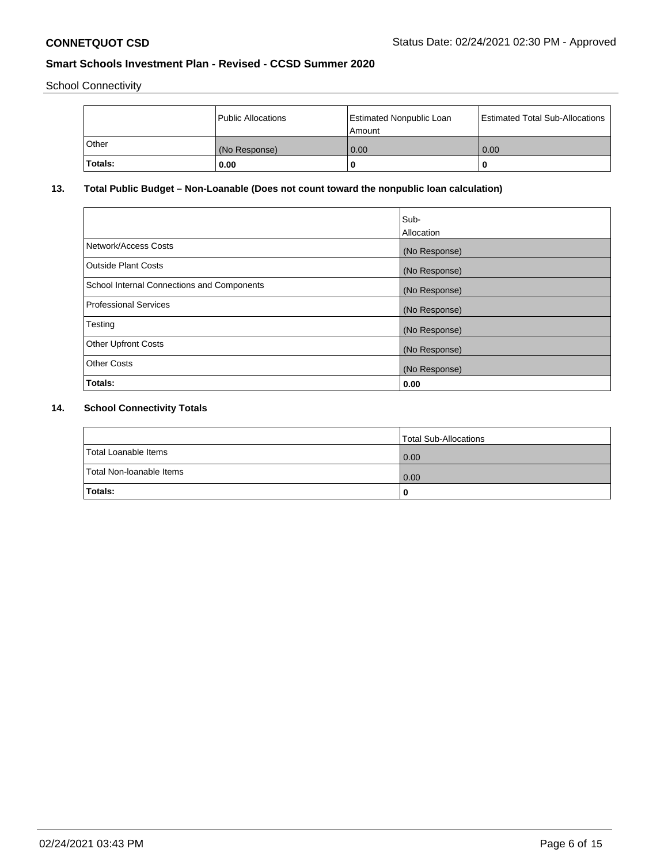School Connectivity

|         | Public Allocations | <b>Estimated Nonpublic Loan</b><br>Amount | <b>Estimated Total Sub-Allocations</b> |
|---------|--------------------|-------------------------------------------|----------------------------------------|
| l Other | (No Response)      | 0.00                                      | 0.00                                   |
| Totals: | 0.00               | 0                                         |                                        |

# **13. Total Public Budget – Non-Loanable (Does not count toward the nonpublic loan calculation)**

| Sub-<br>Allocation |
|--------------------|
| (No Response)      |
| (No Response)      |
| (No Response)      |
| (No Response)      |
| (No Response)      |
| (No Response)      |
| (No Response)      |
| 0.00               |
|                    |

# **14. School Connectivity Totals**

|                          | Total Sub-Allocations |
|--------------------------|-----------------------|
| Total Loanable Items     | 0.00                  |
| Total Non-Ioanable Items | 0.00                  |
| Totals:                  |                       |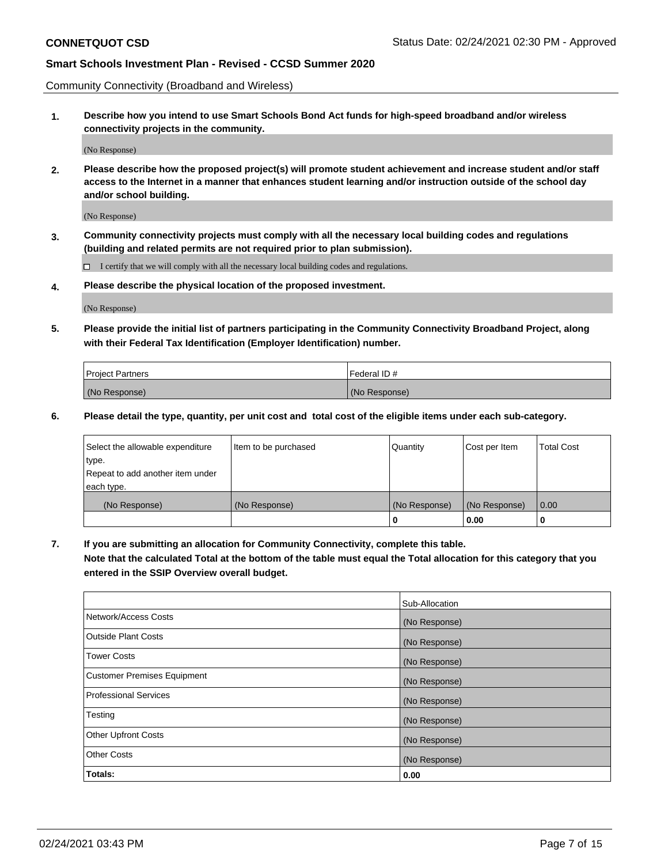Community Connectivity (Broadband and Wireless)

**1. Describe how you intend to use Smart Schools Bond Act funds for high-speed broadband and/or wireless connectivity projects in the community.**

(No Response)

**2. Please describe how the proposed project(s) will promote student achievement and increase student and/or staff access to the Internet in a manner that enhances student learning and/or instruction outside of the school day and/or school building.**

(No Response)

**3. Community connectivity projects must comply with all the necessary local building codes and regulations (building and related permits are not required prior to plan submission).**

 $\Box$  I certify that we will comply with all the necessary local building codes and regulations.

**4. Please describe the physical location of the proposed investment.**

(No Response)

**5. Please provide the initial list of partners participating in the Community Connectivity Broadband Project, along with their Federal Tax Identification (Employer Identification) number.**

| <b>Project Partners</b> | l Federal ID # |
|-------------------------|----------------|
| (No Response)           | (No Response)  |

**6. Please detail the type, quantity, per unit cost and total cost of the eligible items under each sub-category.**

| Select the allowable expenditure | Item to be purchased | Quantity      | Cost per Item | <b>Total Cost</b> |
|----------------------------------|----------------------|---------------|---------------|-------------------|
| type.                            |                      |               |               |                   |
| Repeat to add another item under |                      |               |               |                   |
| each type.                       |                      |               |               |                   |
| (No Response)                    | (No Response)        | (No Response) | (No Response) | 0.00              |
|                                  |                      | o             | 0.00          |                   |

**7. If you are submitting an allocation for Community Connectivity, complete this table.**

**Note that the calculated Total at the bottom of the table must equal the Total allocation for this category that you entered in the SSIP Overview overall budget.**

|                                    | Sub-Allocation |
|------------------------------------|----------------|
| Network/Access Costs               | (No Response)  |
| Outside Plant Costs                | (No Response)  |
| <b>Tower Costs</b>                 | (No Response)  |
| <b>Customer Premises Equipment</b> | (No Response)  |
| <b>Professional Services</b>       | (No Response)  |
| Testing                            | (No Response)  |
| <b>Other Upfront Costs</b>         | (No Response)  |
| <b>Other Costs</b>                 | (No Response)  |
| Totals:                            | 0.00           |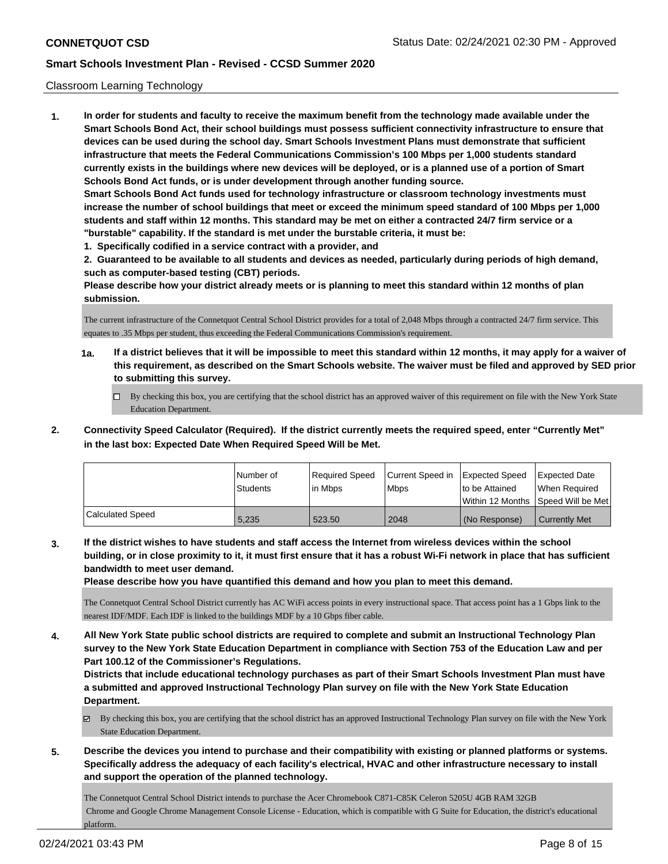### Classroom Learning Technology

**1. In order for students and faculty to receive the maximum benefit from the technology made available under the Smart Schools Bond Act, their school buildings must possess sufficient connectivity infrastructure to ensure that devices can be used during the school day. Smart Schools Investment Plans must demonstrate that sufficient infrastructure that meets the Federal Communications Commission's 100 Mbps per 1,000 students standard currently exists in the buildings where new devices will be deployed, or is a planned use of a portion of Smart Schools Bond Act funds, or is under development through another funding source. Smart Schools Bond Act funds used for technology infrastructure or classroom technology investments must increase the number of school buildings that meet or exceed the minimum speed standard of 100 Mbps per 1,000 students and staff within 12 months. This standard may be met on either a contracted 24/7 firm service or a "burstable" capability. If the standard is met under the burstable criteria, it must be:**

**1. Specifically codified in a service contract with a provider, and**

**2. Guaranteed to be available to all students and devices as needed, particularly during periods of high demand, such as computer-based testing (CBT) periods.**

**Please describe how your district already meets or is planning to meet this standard within 12 months of plan submission.**

The current infrastructure of the Connetquot Central School District provides for a total of 2,048 Mbps through a contracted 24/7 firm service. This equates to .35 Mbps per student, thus exceeding the Federal Communications Commission's requirement.

- **1a. If a district believes that it will be impossible to meet this standard within 12 months, it may apply for a waiver of this requirement, as described on the Smart Schools website. The waiver must be filed and approved by SED prior to submitting this survey.**
	- By checking this box, you are certifying that the school district has an approved waiver of this requirement on file with the New York State Education Department.
- **2. Connectivity Speed Calculator (Required). If the district currently meets the required speed, enter "Currently Met" in the last box: Expected Date When Required Speed Will be Met.**

|                  | l Number of<br><b>Students</b> | Required Speed<br>l in Mbps | Current Speed in<br>l Mbps | <b>Expected Speed</b><br>to be Attained<br>l Within 12 Months | Expected Date<br>When Required<br>Speed Will be Met |
|------------------|--------------------------------|-----------------------------|----------------------------|---------------------------------------------------------------|-----------------------------------------------------|
| Calculated Speed | 5.235                          | 523.50                      | 2048                       | (No Response)                                                 | <b>Currently Met</b>                                |

**3. If the district wishes to have students and staff access the Internet from wireless devices within the school building, or in close proximity to it, it must first ensure that it has a robust Wi-Fi network in place that has sufficient bandwidth to meet user demand.**

**Please describe how you have quantified this demand and how you plan to meet this demand.**

The Connetquot Central School District currently has AC WiFi access points in every instructional space. That access point has a 1 Gbps link to the nearest IDF/MDF. Each IDF is linked to the buildings MDF by a 10 Gbps fiber cable.

**4. All New York State public school districts are required to complete and submit an Instructional Technology Plan survey to the New York State Education Department in compliance with Section 753 of the Education Law and per Part 100.12 of the Commissioner's Regulations.**

**Districts that include educational technology purchases as part of their Smart Schools Investment Plan must have a submitted and approved Instructional Technology Plan survey on file with the New York State Education Department.**

- By checking this box, you are certifying that the school district has an approved Instructional Technology Plan survey on file with the New York State Education Department.
- **5. Describe the devices you intend to purchase and their compatibility with existing or planned platforms or systems. Specifically address the adequacy of each facility's electrical, HVAC and other infrastructure necessary to install and support the operation of the planned technology.**

The Connetquot Central School District intends to purchase the Acer Chromebook C871-C85K Celeron 5205U 4GB RAM 32GB Chrome and Google Chrome Management Console License - Education, which is compatible with G Suite for Education, the district's educational platform.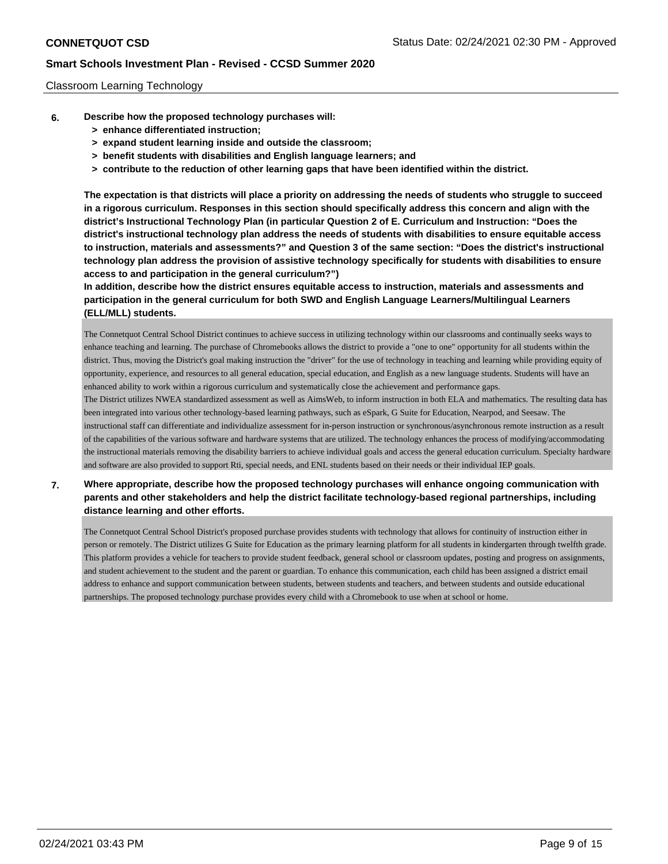### Classroom Learning Technology

- **6. Describe how the proposed technology purchases will:**
	- **> enhance differentiated instruction;**
	- **> expand student learning inside and outside the classroom;**
	- **> benefit students with disabilities and English language learners; and**
	- **> contribute to the reduction of other learning gaps that have been identified within the district.**

**The expectation is that districts will place a priority on addressing the needs of students who struggle to succeed in a rigorous curriculum. Responses in this section should specifically address this concern and align with the district's Instructional Technology Plan (in particular Question 2 of E. Curriculum and Instruction: "Does the district's instructional technology plan address the needs of students with disabilities to ensure equitable access to instruction, materials and assessments?" and Question 3 of the same section: "Does the district's instructional technology plan address the provision of assistive technology specifically for students with disabilities to ensure access to and participation in the general curriculum?")**

**In addition, describe how the district ensures equitable access to instruction, materials and assessments and participation in the general curriculum for both SWD and English Language Learners/Multilingual Learners (ELL/MLL) students.**

The Connetquot Central School District continues to achieve success in utilizing technology within our classrooms and continually seeks ways to enhance teaching and learning. The purchase of Chromebooks allows the district to provide a "one to one" opportunity for all students within the district. Thus, moving the District's goal making instruction the "driver" for the use of technology in teaching and learning while providing equity of opportunity, experience, and resources to all general education, special education, and English as a new language students. Students will have an enhanced ability to work within a rigorous curriculum and systematically close the achievement and performance gaps.

The District utilizes NWEA standardized assessment as well as AimsWeb, to inform instruction in both ELA and mathematics. The resulting data has been integrated into various other technology-based learning pathways, such as eSpark, G Suite for Education, Nearpod, and Seesaw. The instructional staff can differentiate and individualize assessment for in-person instruction or synchronous/asynchronous remote instruction as a result of the capabilities of the various software and hardware systems that are utilized. The technology enhances the process of modifying/accommodating the instructional materials removing the disability barriers to achieve individual goals and access the general education curriculum. Specialty hardware and software are also provided to support Rti, special needs, and ENL students based on their needs or their individual IEP goals.

**7. Where appropriate, describe how the proposed technology purchases will enhance ongoing communication with parents and other stakeholders and help the district facilitate technology-based regional partnerships, including distance learning and other efforts.**

The Connetquot Central School District's proposed purchase provides students with technology that allows for continuity of instruction either in person or remotely. The District utilizes G Suite for Education as the primary learning platform for all students in kindergarten through twelfth grade. This platform provides a vehicle for teachers to provide student feedback, general school or classroom updates, posting and progress on assignments, and student achievement to the student and the parent or guardian. To enhance this communication, each child has been assigned a district email address to enhance and support communication between students, between students and teachers, and between students and outside educational partnerships. The proposed technology purchase provides every child with a Chromebook to use when at school or home.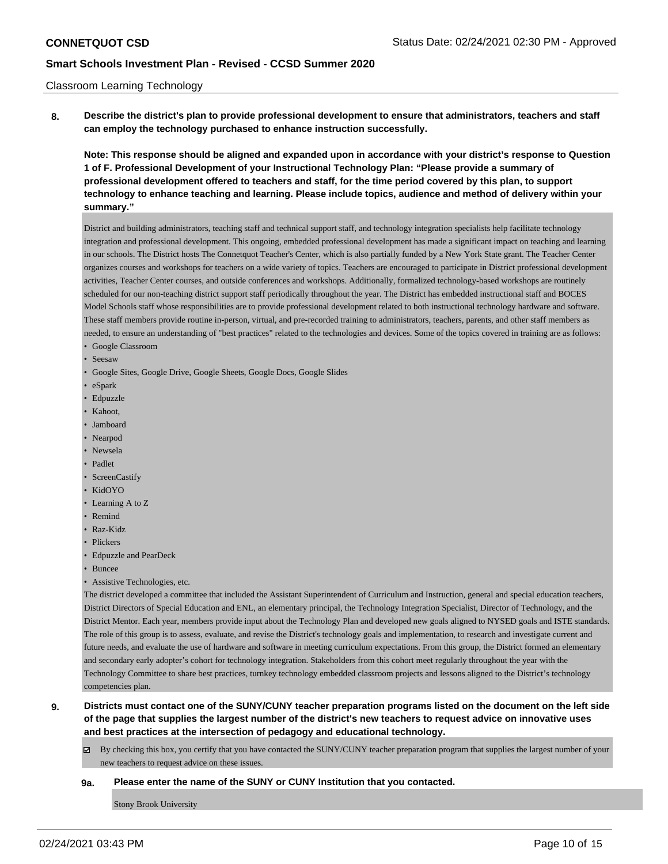### Classroom Learning Technology

**8. Describe the district's plan to provide professional development to ensure that administrators, teachers and staff can employ the technology purchased to enhance instruction successfully.**

**Note: This response should be aligned and expanded upon in accordance with your district's response to Question 1 of F. Professional Development of your Instructional Technology Plan: "Please provide a summary of professional development offered to teachers and staff, for the time period covered by this plan, to support technology to enhance teaching and learning. Please include topics, audience and method of delivery within your summary."**

District and building administrators, teaching staff and technical support staff, and technology integration specialists help facilitate technology integration and professional development. This ongoing, embedded professional development has made a significant impact on teaching and learning in our schools. The District hosts The Connetquot Teacher's Center, which is also partially funded by a New York State grant. The Teacher Center organizes courses and workshops for teachers on a wide variety of topics. Teachers are encouraged to participate in District professional development activities, Teacher Center courses, and outside conferences and workshops. Additionally, formalized technology-based workshops are routinely scheduled for our non-teaching district support staff periodically throughout the year. The District has embedded instructional staff and BOCES Model Schools staff whose responsibilities are to provide professional development related to both instructional technology hardware and software. These staff members provide routine in-person, virtual, and pre-recorded training to administrators, teachers, parents, and other staff members as needed, to ensure an understanding of "best practices" related to the technologies and devices. Some of the topics covered in training are as follows:

- Google Classroom
- Seesaw
- Google Sites, Google Drive, Google Sheets, Google Docs, Google Slides
- eSpark
- Edpuzzle
- Kahoot,
- Jamboard
- Nearpod
- Newsela
- Padlet
- ScreenCastify
- KidOYO
- Learning A to Z
- Remind
- Raz-Kidz
- Plickers
- Edpuzzle and PearDeck
- Buncee
- Assistive Technologies, etc.

The district developed a committee that included the Assistant Superintendent of Curriculum and Instruction, general and special education teachers, District Directors of Special Education and ENL, an elementary principal, the Technology Integration Specialist, Director of Technology, and the District Mentor. Each year, members provide input about the Technology Plan and developed new goals aligned to NYSED goals and ISTE standards. The role of this group is to assess, evaluate, and revise the District's technology goals and implementation, to research and investigate current and future needs, and evaluate the use of hardware and software in meeting curriculum expectations. From this group, the District formed an elementary and secondary early adopter's cohort for technology integration. Stakeholders from this cohort meet regularly throughout the year with the Technology Committee to share best practices, turnkey technology embedded classroom projects and lessons aligned to the District's technology competencies plan.

**9. Districts must contact one of the SUNY/CUNY teacher preparation programs listed on the document on the left side of the page that supplies the largest number of the district's new teachers to request advice on innovative uses and best practices at the intersection of pedagogy and educational technology.**

By checking this box, you certify that you have contacted the SUNY/CUNY teacher preparation program that supplies the largest number of your new teachers to request advice on these issues.

## **9a. Please enter the name of the SUNY or CUNY Institution that you contacted.**

Stony Brook University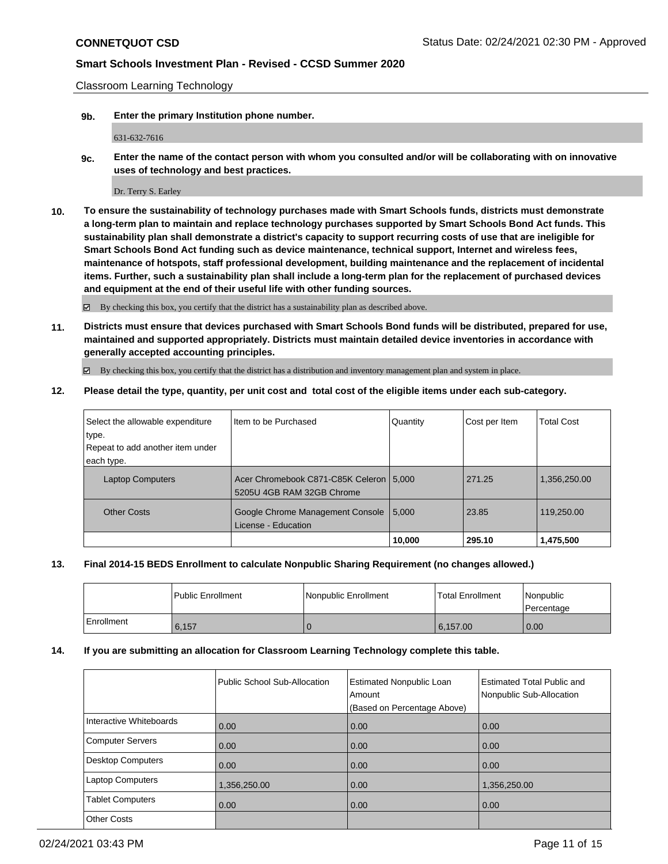Classroom Learning Technology

**9b. Enter the primary Institution phone number.**

631-632-7616

**9c. Enter the name of the contact person with whom you consulted and/or will be collaborating with on innovative uses of technology and best practices.**

Dr. Terry S. Earley

**10. To ensure the sustainability of technology purchases made with Smart Schools funds, districts must demonstrate a long-term plan to maintain and replace technology purchases supported by Smart Schools Bond Act funds. This sustainability plan shall demonstrate a district's capacity to support recurring costs of use that are ineligible for Smart Schools Bond Act funding such as device maintenance, technical support, Internet and wireless fees, maintenance of hotspots, staff professional development, building maintenance and the replacement of incidental items. Further, such a sustainability plan shall include a long-term plan for the replacement of purchased devices and equipment at the end of their useful life with other funding sources.**

By checking this box, you certify that the district has a sustainability plan as described above.

**11. Districts must ensure that devices purchased with Smart Schools Bond funds will be distributed, prepared for use, maintained and supported appropriately. Districts must maintain detailed device inventories in accordance with generally accepted accounting principles.**

By checking this box, you certify that the district has a distribution and inventory management plan and system in place.

**12. Please detail the type, quantity, per unit cost and total cost of the eligible items under each sub-category.**

| Select the allowable expenditure | Item to be Purchased                                                   | Quantity | Cost per Item | <b>Total Cost</b> |
|----------------------------------|------------------------------------------------------------------------|----------|---------------|-------------------|
| type.                            |                                                                        |          |               |                   |
| Repeat to add another item under |                                                                        |          |               |                   |
| each type.                       |                                                                        |          |               |                   |
| <b>Laptop Computers</b>          | Acer Chromebook C871-C85K Celeron   5,000<br>5205U 4GB RAM 32GB Chrome |          | 271.25        | 1,356,250.00      |
| <b>Other Costs</b>               | Google Chrome Management Console<br>License - Education                | 5.000    | 23.85         | 119,250.00        |
|                                  |                                                                        | 10,000   | 295.10        | 1,475,500         |

## **13. Final 2014-15 BEDS Enrollment to calculate Nonpublic Sharing Requirement (no changes allowed.)**

|            | l Public Enrollment | Nonpublic Enrollment | <b>Total Enrollment</b> | l Nonpublic<br>l Percentage |
|------------|---------------------|----------------------|-------------------------|-----------------------------|
| Enrollment | 6,157               |                      | 6, 157.00               | 0.00                        |

### **14. If you are submitting an allocation for Classroom Learning Technology complete this table.**

|                          | Public School Sub-Allocation | <b>Estimated Nonpublic Loan</b><br>Amount<br>(Based on Percentage Above) | Estimated Total Public and<br>Nonpublic Sub-Allocation |
|--------------------------|------------------------------|--------------------------------------------------------------------------|--------------------------------------------------------|
| Interactive Whiteboards  | 0.00                         | 0.00                                                                     | 0.00                                                   |
| <b>Computer Servers</b>  | 0.00                         | 0.00                                                                     | 0.00                                                   |
| <b>Desktop Computers</b> | 0.00                         | 0.00                                                                     | 0.00                                                   |
| <b>Laptop Computers</b>  | 1,356,250.00                 | 0.00                                                                     | 1,356,250.00                                           |
| <b>Tablet Computers</b>  | 0.00                         | 0.00                                                                     | 0.00                                                   |
| <b>Other Costs</b>       |                              |                                                                          |                                                        |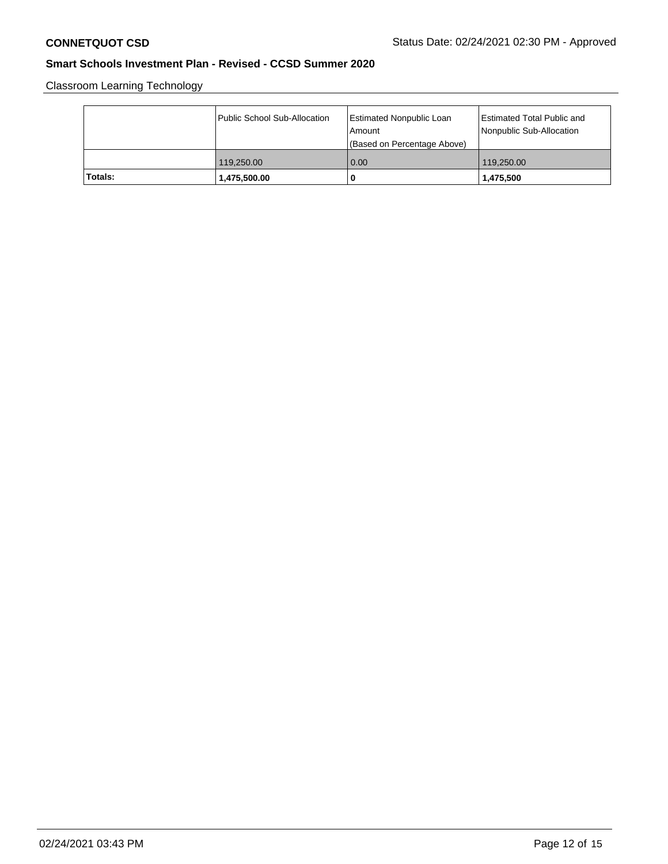Classroom Learning Technology

|         | Public School Sub-Allocation | Estimated Nonpublic Loan<br>l Amount<br>(Based on Percentage Above) | Estimated Total Public and<br>Nonpublic Sub-Allocation |
|---------|------------------------------|---------------------------------------------------------------------|--------------------------------------------------------|
|         | 119,250,00                   | 0.00                                                                | 119,250,00                                             |
| Totals: | 1,475,500.00                 | O                                                                   | 1,475,500                                              |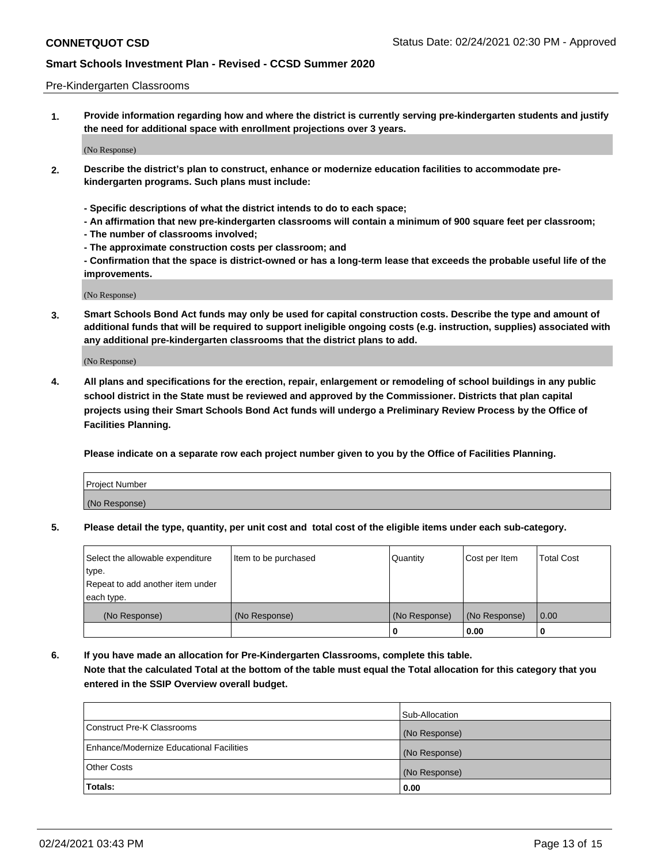#### Pre-Kindergarten Classrooms

**1. Provide information regarding how and where the district is currently serving pre-kindergarten students and justify the need for additional space with enrollment projections over 3 years.**

(No Response)

- **2. Describe the district's plan to construct, enhance or modernize education facilities to accommodate prekindergarten programs. Such plans must include:**
	- **Specific descriptions of what the district intends to do to each space;**
	- **An affirmation that new pre-kindergarten classrooms will contain a minimum of 900 square feet per classroom;**
	- **The number of classrooms involved;**
	- **The approximate construction costs per classroom; and**
	- **Confirmation that the space is district-owned or has a long-term lease that exceeds the probable useful life of the improvements.**

(No Response)

**3. Smart Schools Bond Act funds may only be used for capital construction costs. Describe the type and amount of additional funds that will be required to support ineligible ongoing costs (e.g. instruction, supplies) associated with any additional pre-kindergarten classrooms that the district plans to add.**

(No Response)

**4. All plans and specifications for the erection, repair, enlargement or remodeling of school buildings in any public school district in the State must be reviewed and approved by the Commissioner. Districts that plan capital projects using their Smart Schools Bond Act funds will undergo a Preliminary Review Process by the Office of Facilities Planning.**

**Please indicate on a separate row each project number given to you by the Office of Facilities Planning.**

| Project Number |  |
|----------------|--|
| (No Response)  |  |
|                |  |

**5. Please detail the type, quantity, per unit cost and total cost of the eligible items under each sub-category.**

| Select the allowable expenditure | Item to be purchased | Quantity      | Cost per Item | <b>Total Cost</b> |
|----------------------------------|----------------------|---------------|---------------|-------------------|
| type.                            |                      |               |               |                   |
| Repeat to add another item under |                      |               |               |                   |
| each type.                       |                      |               |               |                   |
| (No Response)                    | (No Response)        | (No Response) | (No Response) | 0.00              |
|                                  |                      | υ             | 0.00          |                   |

**6. If you have made an allocation for Pre-Kindergarten Classrooms, complete this table. Note that the calculated Total at the bottom of the table must equal the Total allocation for this category that you entered in the SSIP Overview overall budget.**

|                                          | Sub-Allocation |
|------------------------------------------|----------------|
| Construct Pre-K Classrooms               | (No Response)  |
| Enhance/Modernize Educational Facilities | (No Response)  |
| <b>Other Costs</b>                       | (No Response)  |
| Totals:                                  | 0.00           |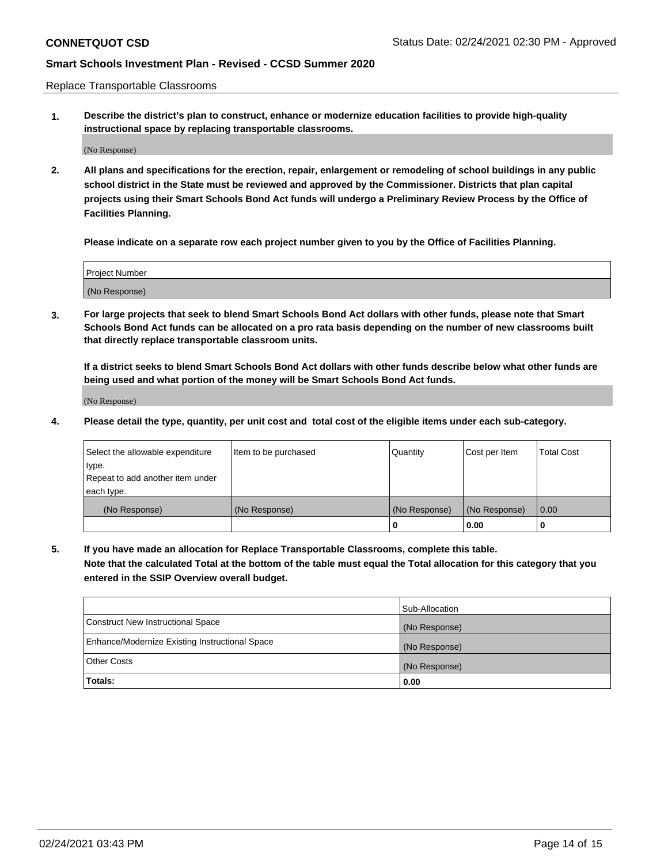Replace Transportable Classrooms

**1. Describe the district's plan to construct, enhance or modernize education facilities to provide high-quality instructional space by replacing transportable classrooms.**

(No Response)

**2. All plans and specifications for the erection, repair, enlargement or remodeling of school buildings in any public school district in the State must be reviewed and approved by the Commissioner. Districts that plan capital projects using their Smart Schools Bond Act funds will undergo a Preliminary Review Process by the Office of Facilities Planning.**

**Please indicate on a separate row each project number given to you by the Office of Facilities Planning.**

| Project Number |  |
|----------------|--|
|                |  |
|                |  |
|                |  |
| (No Response)  |  |
|                |  |
|                |  |

**3. For large projects that seek to blend Smart Schools Bond Act dollars with other funds, please note that Smart Schools Bond Act funds can be allocated on a pro rata basis depending on the number of new classrooms built that directly replace transportable classroom units.**

**If a district seeks to blend Smart Schools Bond Act dollars with other funds describe below what other funds are being used and what portion of the money will be Smart Schools Bond Act funds.**

(No Response)

**4. Please detail the type, quantity, per unit cost and total cost of the eligible items under each sub-category.**

| Select the allowable expenditure | Item to be purchased | Quantity      | Cost per Item | Total Cost |
|----------------------------------|----------------------|---------------|---------------|------------|
| ∣type.                           |                      |               |               |            |
| Repeat to add another item under |                      |               |               |            |
| each type.                       |                      |               |               |            |
| (No Response)                    | (No Response)        | (No Response) | (No Response) | 0.00       |
|                                  |                      | u             | 0.00          |            |

**5. If you have made an allocation for Replace Transportable Classrooms, complete this table. Note that the calculated Total at the bottom of the table must equal the Total allocation for this category that you entered in the SSIP Overview overall budget.**

|                                                | Sub-Allocation |
|------------------------------------------------|----------------|
| Construct New Instructional Space              | (No Response)  |
| Enhance/Modernize Existing Instructional Space | (No Response)  |
| Other Costs                                    | (No Response)  |
| Totals:                                        | 0.00           |